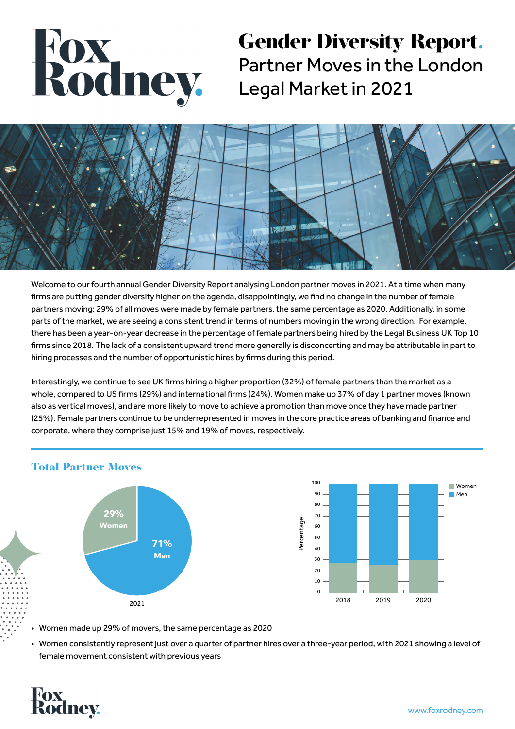# Rodney.

## **Gender Diversity Report.** Partner Moves in the London Legal Market in 2021



Welcome to our fourth annual Gender Diversity Report analysing London partner moves in 2021. At a time when many firms are putting gender diversity higher on the agenda, disappointingly, we find no change in the number of female partners moving: 29% of all moves were made by female partners, the same percentage as 2020. Additionally, in some parts of the market, we are seeing a consistent trend in terms of numbers moving in the wrong direction. For example, there has been a year-on-year decrease in the percentage of female partners being hired by the Legal Business UK Top 10 firms since 2018. The lack of a consistent upward trend more generally is disconcerting and may be attributable in part to hiring processes and the number of opportunistic hires by firms during this period.

Interestingly, we continue to see UK firms hiring a higher proportion (32%) of female partners than the market as a whole, compared to US firms (29%) and international firms (24%). Women make up 37% of day 1 partner moves (known also as vertical moves), and are more likely to move to achieve a promotion than move once they have made partner (25%). Female partners continue to be underrepresented in moves in the core practice areas of banking and finance and corporate, where they comprise just 15% and 19% of moves, respectively.



#### **Total Partner Moves**

- Women made up 29% of movers, the same percentage as 2020
- Women consistently represent just over a quarter of partner hires over a three-year period, with 2021 showing a level of female movement consistent with previous years

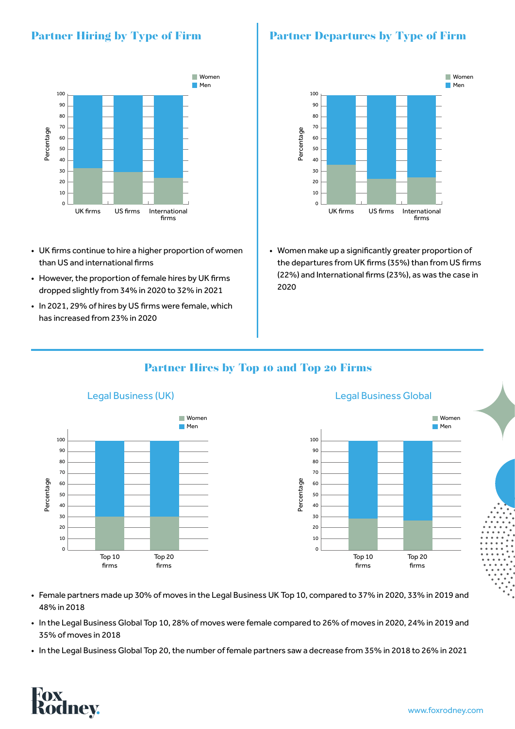### **Partner Hiring by Type of Firm**



- UK firms continue to hire a higher proportion of women than US and international firms
- However, the proportion of female hires by UK firms dropped slightly from 34% in 2020 to 32% in 2021
- In 2021, 29% of hires by US firms were female, which has increased from 23% in 2020

### **Partner Departures by Type of Firm**



• Women make up a significantly greater proportion of the departures from UK firms (35%) than from US firms (22%) and International firms (23%), as was the case in 2020

#### **Partner Hires by Top 10 and Top 20 Firms**



- Female partners made up 30% of moves in the Legal Business UK Top 10, compared to 37% in 2020, 33% in 2019 and 48% in 2018
- In the Legal Business Global Top 10, 28% of moves were female compared to 26% of moves in 2020, 24% in 2019 and 35% of moves in 2018
- In the Legal Business Global Top 20, the number of female partners saw a decrease from 35% in 2018 to 26% in 2021